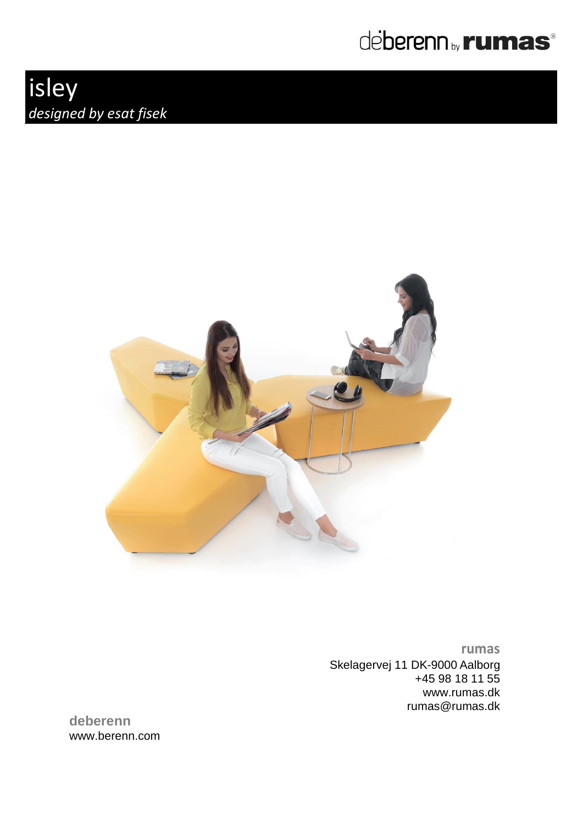

## isley *designed by esat fisek*



**rumas** Skelagervej 11 DK-9000 Aalborg +45 98 18 11 55 www.rumas.dk [rumas@rumas.dk](mailto:rumas@rumas.dk)

**deberenn** www.berenn.com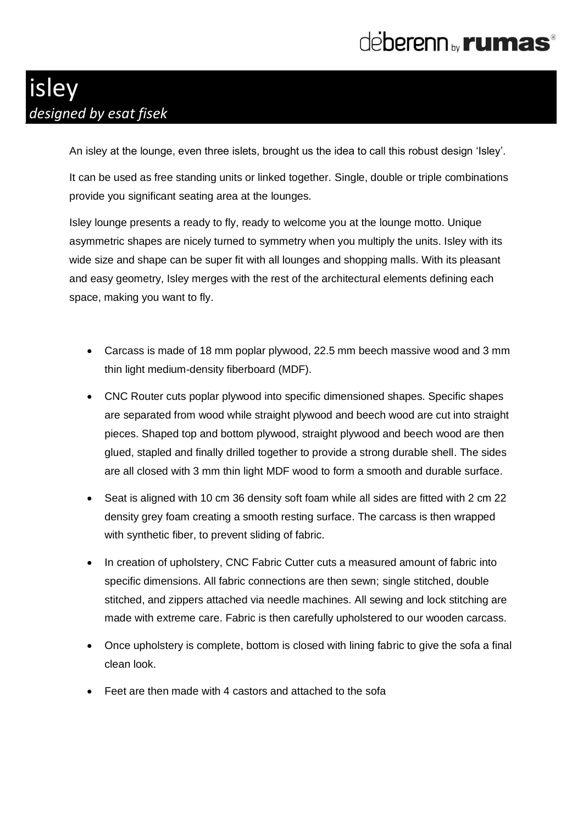## deberenn<sub>by</sub>rumas<sup>®</sup>

### isley *designed by esat fisek*

An isley at the lounge, even three islets, brought us the idea to call this robust design 'Isley'.

It can be used as free standing units or linked together. Single, double or triple combinations provide you significant seating area at the lounges.

Isley lounge presents a ready to fly, ready to welcome you at the lounge motto. Unique asymmetric shapes are nicely turned to symmetry when you multiply the units. Isley with its wide size and shape can be super fit with all lounges and shopping malls. With its pleasant and easy geometry, Isley merges with the rest of the architectural elements defining each space, making you want to fly.

- Carcass is made of 18 mm poplar plywood, 22.5 mm beech massive wood and 3 mm thin light medium-density fiberboard (MDF).
- CNC Router cuts poplar plywood into specific dimensioned shapes. Specific shapes are separated from wood while straight plywood and beech wood are cut into straight pieces. Shaped top and bottom plywood, straight plywood and beech wood are then glued, stapled and finally drilled together to provide a strong durable shell. The sides are all closed with 3 mm thin light MDF wood to form a smooth and durable surface.
- Seat is aligned with 10 cm 36 density soft foam while all sides are fitted with 2 cm 22 density grey foam creating a smooth resting surface. The carcass is then wrapped with synthetic fiber, to prevent sliding of fabric.
- In creation of upholstery, CNC Fabric Cutter cuts a measured amount of fabric into specific dimensions. All fabric connections are then sewn; single stitched, double stitched, and zippers attached via needle machines. All sewing and lock stitching are made with extreme care. Fabric is then carefully upholstered to our wooden carcass.
- Once upholstery is complete, bottom is closed with lining fabric to give the sofa a final clean look.
- Feet are then made with 4 castors and attached to the sofa